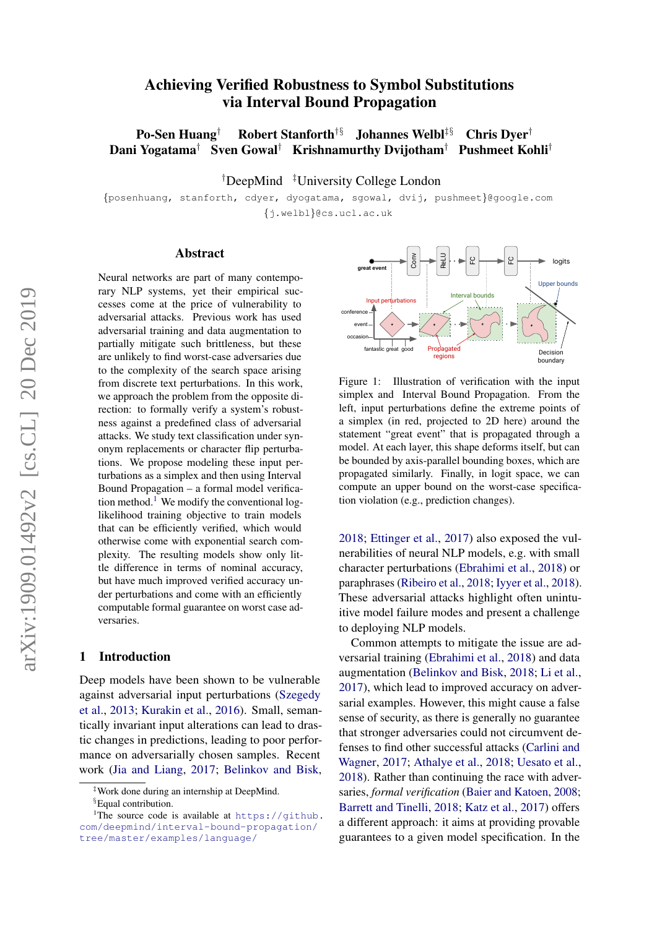# Achieving Verified Robustness to Symbol Substitutions via Interval Bound Propagation

Po-Sen Huang<sup>†</sup> Robert Stanforth<sup>†§</sup> Johannes Welbl<sup>‡§</sup> Chris Dyer<sup>†</sup> Dani Yogatama† Sven Gowal† Krishnamurthy Dvijotham† Pushmeet Kohli†

†DeepMind ‡University College London

{posenhuang, stanforth, cdyer, dyogatama, sgowal, dvij, pushmeet}@google.com {j.welbl}@cs.ucl.ac.uk

#### Abstract

Neural networks are part of many contemporary NLP systems, yet their empirical successes come at the price of vulnerability to adversarial attacks. Previous work has used adversarial training and data augmentation to partially mitigate such brittleness, but these are unlikely to find worst-case adversaries due to the complexity of the search space arising from discrete text perturbations. In this work, we approach the problem from the opposite direction: to formally verify a system's robustness against a predefined class of adversarial attacks. We study text classification under synonym replacements or character flip perturbations. We propose modeling these input perturbations as a simplex and then using Interval Bound Propagation – a formal model verifica-tion method.<sup>[1](#page-0-0)</sup> We modify the conventional loglikelihood training objective to train models that can be efficiently verified, which would otherwise come with exponential search complexity. The resulting models show only little difference in terms of nominal accuracy, but have much improved verified accuracy under perturbations and come with an efficiently computable formal guarantee on worst case adversaries.

### 1 Introduction

Deep models have been shown to be vulnerable against adversarial input perturbations [\(Szegedy](#page-10-0) [et al.,](#page-10-0) [2013;](#page-10-0) [Kurakin et al.,](#page-9-0) [2016\)](#page-9-0). Small, semantically invariant input alterations can lead to drastic changes in predictions, leading to poor performance on adversarially chosen samples. Recent work [\(Jia and Liang,](#page-9-1) [2017;](#page-9-1) [Belinkov and Bisk,](#page-8-0)

<span id="page-0-1"></span>

Figure 1: Illustration of verification with the input simplex and Interval Bound Propagation. From the left, input perturbations define the extreme points of a simplex (in red, projected to 2D here) around the statement "great event" that is propagated through a model. At each layer, this shape deforms itself, but can be bounded by axis-parallel bounding boxes, which are propagated similarly. Finally, in logit space, we can compute an upper bound on the worst-case specification violation (e.g., prediction changes).

[2018;](#page-8-0) [Ettinger et al.,](#page-9-2) [2017\)](#page-9-2) also exposed the vulnerabilities of neural NLP models, e.g. with small character perturbations [\(Ebrahimi et al.,](#page-8-1) [2018\)](#page-8-1) or paraphrases [\(Ribeiro et al.,](#page-10-1) [2018;](#page-10-1) [Iyyer et al.,](#page-9-3) [2018\)](#page-9-3). These adversarial attacks highlight often unintuitive model failure modes and present a challenge to deploying NLP models.

Common attempts to mitigate the issue are adversarial training [\(Ebrahimi et al.,](#page-8-1) [2018\)](#page-8-1) and data augmentation [\(Belinkov and Bisk,](#page-8-0) [2018;](#page-8-0) [Li et al.,](#page-9-4) [2017\)](#page-9-4), which lead to improved accuracy on adversarial examples. However, this might cause a false sense of security, as there is generally no guarantee that stronger adversaries could not circumvent defenses to find other successful attacks [\(Carlini and](#page-8-2) [Wagner,](#page-8-2) [2017;](#page-8-2) [Athalye et al.,](#page-8-3) [2018;](#page-8-3) [Uesato et al.,](#page-10-2) [2018\)](#page-10-2). Rather than continuing the race with adversaries, *formal verification* [\(Baier and Katoen,](#page-8-4) [2008;](#page-8-4) [Barrett and Tinelli,](#page-8-5) [2018;](#page-8-5) [Katz et al.,](#page-9-5) [2017\)](#page-9-5) offers a different approach: it aims at providing provable guarantees to a given model specification. In the

<sup>‡</sup>Work done during an internship at DeepMind.

<span id="page-0-0"></span><sup>§</sup>Equal contribution.

<sup>&</sup>lt;sup>1</sup>The source code is available at [https://github.](https://github.com/deepmind/interval-bound-propagation/tree/master/examples/language/) [com/deepmind/interval-bound-propagation/](https://github.com/deepmind/interval-bound-propagation/tree/master/examples/language/) [tree/master/examples/language/](https://github.com/deepmind/interval-bound-propagation/tree/master/examples/language/)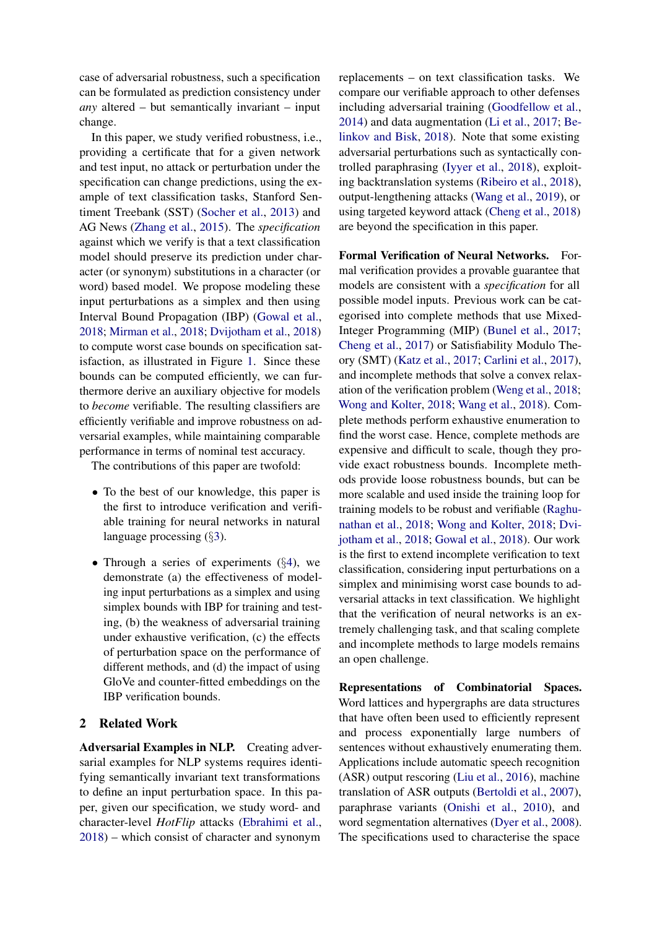case of adversarial robustness, such a specification can be formulated as prediction consistency under *any* altered – but semantically invariant – input change.

In this paper, we study verified robustness, i.e., providing a certificate that for a given network and test input, no attack or perturbation under the specification can change predictions, using the example of text classification tasks, Stanford Sentiment Treebank (SST) [\(Socher et al.,](#page-10-3) [2013\)](#page-10-3) and AG News [\(Zhang et al.,](#page-10-4) [2015\)](#page-10-4). The *specification* against which we verify is that a text classification model should preserve its prediction under character (or synonym) substitutions in a character (or word) based model. We propose modeling these input perturbations as a simplex and then using Interval Bound Propagation (IBP) [\(Gowal et al.,](#page-9-6) [2018;](#page-9-6) [Mirman et al.,](#page-9-7) [2018;](#page-9-7) [Dvijotham et al.,](#page-8-6) [2018\)](#page-8-6) to compute worst case bounds on specification satisfaction, as illustrated in Figure [1.](#page-0-1) Since these bounds can be computed efficiently, we can furthermore derive an auxiliary objective for models to *become* verifiable. The resulting classifiers are efficiently verifiable and improve robustness on adversarial examples, while maintaining comparable performance in terms of nominal test accuracy.

The contributions of this paper are twofold:

- To the best of our knowledge, this paper is the first to introduce verification and verifiable training for neural networks in natural language processing (§[3\)](#page-2-0).
- Through a series of experiments ( $\S$ [4\)](#page-3-0), we demonstrate (a) the effectiveness of modeling input perturbations as a simplex and using simplex bounds with IBP for training and testing, (b) the weakness of adversarial training under exhaustive verification, (c) the effects of perturbation space on the performance of different methods, and (d) the impact of using GloVe and counter-fitted embeddings on the IBP verification bounds.

# 2 Related Work

Adversarial Examples in NLP. Creating adversarial examples for NLP systems requires identifying semantically invariant text transformations to define an input perturbation space. In this paper, given our specification, we study word- and character-level *HotFlip* attacks [\(Ebrahimi et al.,](#page-8-1) [2018\)](#page-8-1) – which consist of character and synonym

replacements – on text classification tasks. We compare our verifiable approach to other defenses including adversarial training [\(Goodfellow et al.,](#page-9-8) [2014\)](#page-9-8) and data augmentation [\(Li et al.,](#page-9-4) [2017;](#page-9-4) [Be](#page-8-0)[linkov and Bisk,](#page-8-0) [2018\)](#page-8-0). Note that some existing adversarial perturbations such as syntactically controlled paraphrasing [\(Iyyer et al.,](#page-9-3) [2018\)](#page-9-3), exploiting backtranslation systems [\(Ribeiro et al.,](#page-10-1) [2018\)](#page-10-1), output-lengthening attacks [\(Wang et al.,](#page-10-5) [2019\)](#page-10-5), or using targeted keyword attack [\(Cheng et al.,](#page-8-7) [2018\)](#page-8-7) are beyond the specification in this paper.

Formal Verification of Neural Networks. Formal verification provides a provable guarantee that models are consistent with a *specification* for all possible model inputs. Previous work can be categorised into complete methods that use Mixed-Integer Programming (MIP) [\(Bunel et al.,](#page-8-8) [2017;](#page-8-8) [Cheng et al.,](#page-8-9) [2017\)](#page-8-9) or Satisfiability Modulo Theory (SMT) [\(Katz et al.,](#page-9-5) [2017;](#page-9-5) [Carlini et al.,](#page-8-10) [2017\)](#page-8-10), and incomplete methods that solve a convex relaxation of the verification problem [\(Weng et al.,](#page-10-6) [2018;](#page-10-6) [Wong and Kolter,](#page-10-7) [2018;](#page-10-7) [Wang et al.,](#page-10-8) [2018\)](#page-10-8). Complete methods perform exhaustive enumeration to find the worst case. Hence, complete methods are expensive and difficult to scale, though they provide exact robustness bounds. Incomplete methods provide loose robustness bounds, but can be more scalable and used inside the training loop for training models to be robust and verifiable [\(Raghu](#page-9-9)[nathan et al.,](#page-9-9) [2018;](#page-9-9) [Wong and Kolter,](#page-10-7) [2018;](#page-10-7) [Dvi](#page-8-6)[jotham et al.,](#page-8-6) [2018;](#page-8-6) [Gowal et al.,](#page-9-6) [2018\)](#page-9-6). Our work is the first to extend incomplete verification to text classification, considering input perturbations on a simplex and minimising worst case bounds to adversarial attacks in text classification. We highlight that the verification of neural networks is an extremely challenging task, and that scaling complete and incomplete methods to large models remains an open challenge.

Representations of Combinatorial Spaces. Word lattices and hypergraphs are data structures that have often been used to efficiently represent and process exponentially large numbers of sentences without exhaustively enumerating them. Applications include automatic speech recognition (ASR) output rescoring [\(Liu et al.,](#page-9-10) [2016\)](#page-9-10), machine translation of ASR outputs [\(Bertoldi et al.,](#page-8-11) [2007\)](#page-8-11), paraphrase variants [\(Onishi et al.,](#page-9-11) [2010\)](#page-9-11), and word segmentation alternatives [\(Dyer et al.,](#page-8-12) [2008\)](#page-8-12). The specifications used to characterise the space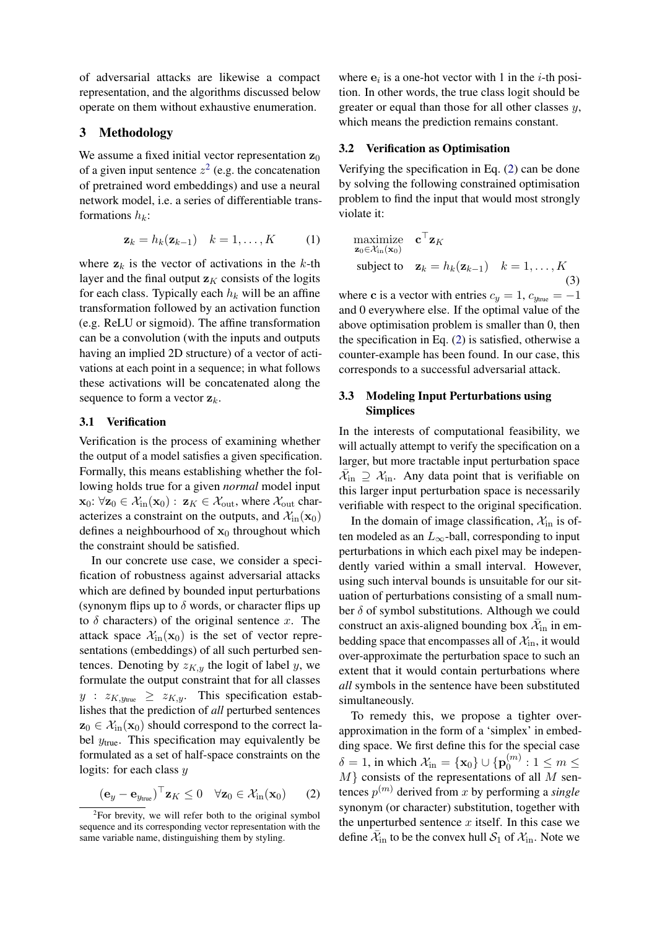of adversarial attacks are likewise a compact representation, and the algorithms discussed below operate on them without exhaustive enumeration.

### <span id="page-2-0"></span>3 Methodology

We assume a fixed initial vector representation  $z_0$ of a given input sentence  $z^2$  $z^2$  (e.g. the concatenation of pretrained word embeddings) and use a neural network model, i.e. a series of differentiable transformations  $h_k$ :

$$
\mathbf{z}_k = h_k(\mathbf{z}_{k-1}) \quad k = 1, \dots, K \tag{1}
$$

where  $z_k$  is the vector of activations in the k-th layer and the final output  $z<sub>K</sub>$  consists of the logits for each class. Typically each  $h_k$  will be an affine transformation followed by an activation function (e.g. ReLU or sigmoid). The affine transformation can be a convolution (with the inputs and outputs having an implied 2D structure) of a vector of activations at each point in a sequence; in what follows these activations will be concatenated along the sequence to form a vector  $z_k$ .

#### 3.1 Verification

Verification is the process of examining whether the output of a model satisfies a given specification. Formally, this means establishing whether the following holds true for a given *normal* model input  $\mathbf{x}_0: \forall \mathbf{z}_0 \in \mathcal{X}_{\text{in}}(\mathbf{x}_0): \mathbf{z}_K \in \mathcal{X}_{\text{out}}$ , where  $\mathcal{X}_{\text{out}}$  characterizes a constraint on the outputs, and  $\mathcal{X}_{\text{in}}(\mathbf{x}_0)$ defines a neighbourhood of  $x_0$  throughout which the constraint should be satisfied.

In our concrete use case, we consider a specification of robustness against adversarial attacks which are defined by bounded input perturbations (synonym flips up to  $\delta$  words, or character flips up to  $\delta$  characters) of the original sentence x. The attack space  $\mathcal{X}_{\text{in}}(\mathbf{x}_0)$  is the set of vector representations (embeddings) of all such perturbed sentences. Denoting by  $z_{K,y}$  the logit of label y, we formulate the output constraint that for all classes  $y$  :  $z_{K,y_{\text{true}}} \geq z_{K,y}$ . This specification establishes that the prediction of *all* perturbed sentences  $z_0 \in \mathcal{X}_{\text{in}}(\mathbf{x}_0)$  should correspond to the correct label  $y_{true}$ . This specification may equivalently be formulated as a set of half-space constraints on the logits: for each class  $y$ 

<span id="page-2-2"></span>
$$
(\mathbf{e}_y - \mathbf{e}_{y_{\text{true}}})^{\top} \mathbf{z}_K \le 0 \quad \forall \mathbf{z}_0 \in \mathcal{X}_{\text{in}}(\mathbf{x}_0)
$$
 (2)

where  $e_i$  is a one-hot vector with 1 in the *i*-th position. In other words, the true class logit should be greater or equal than those for all other classes  $y$ , which means the prediction remains constant.

#### 3.2 Verification as Optimisation

Verifying the specification in Eq. [\(2\)](#page-2-2) can be done by solving the following constrained optimisation problem to find the input that would most strongly violate it:

<span id="page-2-3"></span>maximize 
$$
\mathbf{c}^{\top} \mathbf{z}_K
$$
  
\n $\mathbf{z}_0 \in \mathcal{X}_{\text{in}}(\mathbf{x}_0)$   
\nsubject to  $\mathbf{z}_k = h_k(\mathbf{z}_{k-1})$   $k = 1, ..., K$  (3)

where c is a vector with entries  $c_y = 1$ ,  $c_{y_{true}} = -1$ and 0 everywhere else. If the optimal value of the above optimisation problem is smaller than 0, then the specification in Eq. [\(2\)](#page-2-2) is satisfied, otherwise a counter-example has been found. In our case, this corresponds to a successful adversarial attack.

# 3.3 Modeling Input Perturbations using **Simplices**

In the interests of computational feasibility, we will actually attempt to verify the specification on a larger, but more tractable input perturbation space  $\bar{\mathcal{X}}_{\text{in}} \supseteq \mathcal{X}_{\text{in}}$ . Any data point that is verifiable on this larger input perturbation space is necessarily verifiable with respect to the original specification.

In the domain of image classification,  $\mathcal{X}_{\text{in}}$  is often modeled as an  $L_{\infty}$ -ball, corresponding to input perturbations in which each pixel may be independently varied within a small interval. However, using such interval bounds is unsuitable for our situation of perturbations consisting of a small number  $\delta$  of symbol substitutions. Although we could construct an axis-aligned bounding box  $\bar{\mathcal{X}}_{in}$  in embedding space that encompasses all of  $\mathcal{X}_{\text{in}}$ , it would over-approximate the perturbation space to such an extent that it would contain perturbations where *all* symbols in the sentence have been substituted simultaneously.

To remedy this, we propose a tighter overapproximation in the form of a 'simplex' in embedding space. We first define this for the special case  $\delta = 1$ , in which  $\mathcal{X}_{\text{in}} = {\mathbf{x}_0} \cup {\mathbf{p}_0^{(m)}}$  $0^{(m)}$  :  $1 \leq m \leq$  $M$ } consists of the representations of all M sentences  $p^{(m)}$  derived from x by performing a *single* synonym (or character) substitution, together with the unperturbed sentence  $x$  itself. In this case we define  $\bar{\mathcal{X}}_{\text{in}}$  to be the convex hull  $\mathcal{S}_1$  of  $\mathcal{X}_{\text{in}}$ . Note we

<span id="page-2-1"></span><sup>&</sup>lt;sup>2</sup>For brevity, we will refer both to the original symbol sequence and its corresponding vector representation with the same variable name, distinguishing them by styling.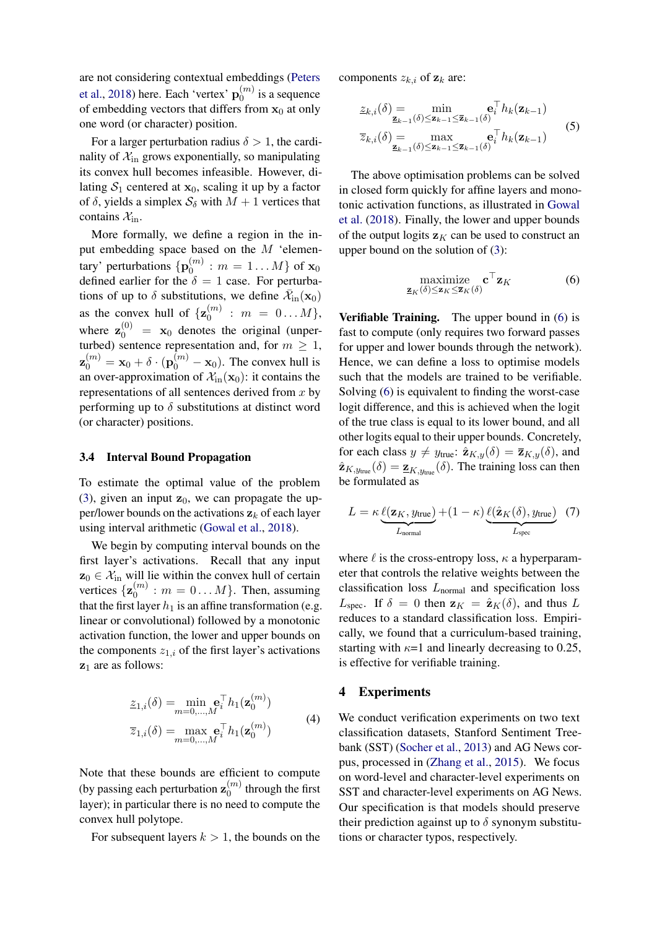are not considering contextual embeddings [\(Peters](#page-9-12) [et al.,](#page-9-12) [2018\)](#page-9-12) here. Each 'vertex'  $\mathbf{p}_0^{(m)}$  $\binom{m}{0}$  is a sequence of embedding vectors that differs from  $x_0$  at only one word (or character) position.

For a larger perturbation radius  $\delta > 1$ , the cardinality of  $\mathcal{X}_{\text{in}}$  grows exponentially, so manipulating its convex hull becomes infeasible. However, dilating  $S_1$  centered at  $x_0$ , scaling it up by a factor of  $\delta$ , yields a simplex  $S_{\delta}$  with  $M + 1$  vertices that contains  $\mathcal{X}_{\text{in}}$ .

More formally, we define a region in the input embedding space based on the  $M$  'elementary' perturbations  $\{p_0^{(m)}\}$  $\binom{m}{0}: m = 1 \dots M$  of  $\mathbf{x}_0$ defined earlier for the  $\delta = 1$  case. For perturbations of up to  $\delta$  substitutions, we define  $\bar{\mathcal{X}}_{\text{in}}(\mathbf{x}_0)$ as the convex hull of  $\{z_0^{(m)}\}$  $\binom{m}{0}$  :  $m = 0...M$ , where  $\mathbf{z}_0^{(0)} = \mathbf{x}_0$  denotes the original (unperturbed) sentence representation and, for  $m \geq 1$ ,  $\mathbf{z}_0^{(m)} = \mathbf{x}_0 + \delta \cdot (\mathbf{p}_0^{(m)} - \mathbf{x}_0)$ . The convex hull is an over-approximation of  $\mathcal{X}_{in}(\mathbf{x}_0)$ : it contains the representations of all sentences derived from  $x$  by performing up to  $\delta$  substitutions at distinct word (or character) positions.

#### 3.4 Interval Bound Propagation

To estimate the optimal value of the problem [\(3\)](#page-2-3), given an input  $z_0$ , we can propagate the upper/lower bounds on the activations  $z_k$  of each layer using interval arithmetic [\(Gowal et al.,](#page-9-6) [2018\)](#page-9-6).

We begin by computing interval bounds on the first layer's activations. Recall that any input  $z_0 \in \mathcal{X}_{\text{in}}$  will lie within the convex hull of certain vertices  $\{z_0^{(m)}\}$  $\binom{m}{0}$  :  $m = 0...M$ . Then, assuming that the first layer  $h_1$  is an affine transformation (e.g. linear or convolutional) followed by a monotonic activation function, the lower and upper bounds on the components  $z_{1,i}$  of the first layer's activations  $z_1$  are as follows:

$$
\underline{z}_{1,i}(\delta) = \min_{m=0,\dots,M} \mathbf{e}_i^{\top} h_1(\mathbf{z}_0^{(m)})
$$
  

$$
\overline{z}_{1,i}(\delta) = \max_{m=0,\dots,M} \mathbf{e}_i^{\top} h_1(\mathbf{z}_0^{(m)})
$$
 (4)

Note that these bounds are efficient to compute (by passing each perturbation  $\mathbf{z}_0^{(m)}$ )  $\int_0^{(m)}$  through the first layer); in particular there is no need to compute the convex hull polytope.

For subsequent layers  $k > 1$ , the bounds on the

components  $z_{k,i}$  of  $z_k$  are:

$$
\underline{z}_{k,i}(\delta) = \min_{\mathbf{z}_{k-1}(\delta) \le \mathbf{z}_{k-1} \le \overline{\mathbf{z}}_{k-1}(\delta)} \mathbf{e}_i^{\top} h_k(\mathbf{z}_{k-1})
$$
\n
$$
\overline{z}_{k,i}(\delta) = \max_{\mathbf{z}_{k-1}(\delta) \le \mathbf{z}_{k-1} \le \overline{\mathbf{z}}_{k-1}(\delta)} \mathbf{e}_i^{\top} h_k(\mathbf{z}_{k-1})
$$
\n(5)

The above optimisation problems can be solved in closed form quickly for affine layers and monotonic activation functions, as illustrated in [Gowal](#page-9-6) [et al.](#page-9-6) [\(2018\)](#page-9-6). Finally, the lower and upper bounds of the output logits  $z<sub>K</sub>$  can be used to construct an upper bound on the solution of [\(3\)](#page-2-3):

<span id="page-3-1"></span>
$$
\underset{\mathbf{z}_K(\delta) \leq \mathbf{z}_K \leq \overline{\mathbf{z}}_K(\delta)}{\text{maximize}} \mathbf{c}^\top \mathbf{z}_K \tag{6}
$$

Verifiable Training. The upper bound in [\(6\)](#page-3-1) is fast to compute (only requires two forward passes for upper and lower bounds through the network). Hence, we can define a loss to optimise models such that the models are trained to be verifiable. Solving [\(6\)](#page-3-1) is equivalent to finding the worst-case logit difference, and this is achieved when the logit of the true class is equal to its lower bound, and all other logits equal to their upper bounds. Concretely, for each class  $y \neq y_{true}$ :  $\hat{\mathbf{z}}_{K,y}(\delta) = \overline{\mathbf{z}}_{K,y}(\delta)$ , and  $\hat{\mathbf{z}}_{K,y_{\text{true}}}(\delta) = \underline{\mathbf{z}}_{K,y_{\text{true}}}(\delta)$ . The training loss can then be formulated as

<span id="page-3-2"></span>
$$
L = \kappa \underbrace{\ell(\mathbf{z}_K, y_{\text{true}})}_{L_{\text{normal}}} + (1 - \kappa) \underbrace{\ell(\hat{\mathbf{z}}_K(\delta), y_{\text{true}})}_{L_{\text{spec}}} \tag{7}
$$

where  $\ell$  is the cross-entropy loss,  $\kappa$  a hyperparameter that controls the relative weights between the classification loss  $L_{\text{normal}}$  and specification loss  $L_{\text{spec}}$ . If  $\delta = 0$  then  $\mathbf{z}_K = \hat{\mathbf{z}}_K(\delta)$ , and thus L reduces to a standard classification loss. Empirically, we found that a curriculum-based training, starting with  $\kappa=1$  and linearly decreasing to 0.25, is effective for verifiable training.

#### <span id="page-3-0"></span>4 Experiments

We conduct verification experiments on two text classification datasets, Stanford Sentiment Treebank (SST) [\(Socher et al.,](#page-10-3) [2013\)](#page-10-3) and AG News corpus, processed in [\(Zhang et al.,](#page-10-4) [2015\)](#page-10-4). We focus on word-level and character-level experiments on SST and character-level experiments on AG News. Our specification is that models should preserve their prediction against up to  $\delta$  synonym substitutions or character typos, respectively.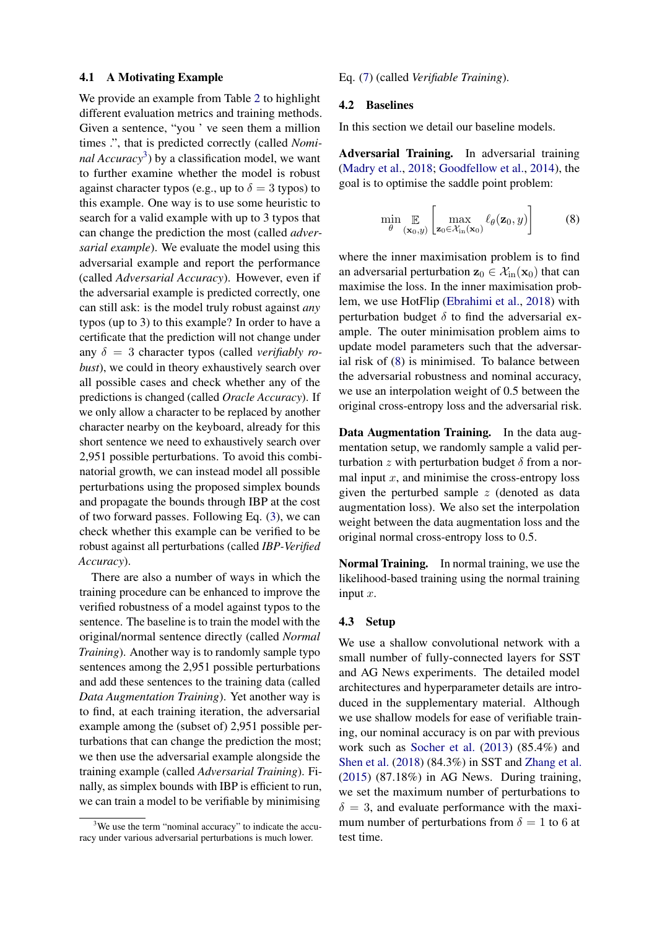#### 4.1 A Motivating Example

We provide an example from Table [2](#page-5-0) to highlight different evaluation metrics and training methods. Given a sentence, "you ' ve seen them a million times .", that is predicted correctly (called *Nominal Accuracy*[3](#page-4-0) ) by a classification model, we want to further examine whether the model is robust against character typos (e.g., up to  $\delta = 3$  typos) to this example. One way is to use some heuristic to search for a valid example with up to 3 typos that can change the prediction the most (called *adversarial example*). We evaluate the model using this adversarial example and report the performance (called *Adversarial Accuracy*). However, even if the adversarial example is predicted correctly, one can still ask: is the model truly robust against *any* typos (up to 3) to this example? In order to have a certificate that the prediction will not change under any  $\delta = 3$  character typos (called *verifiably robust*), we could in theory exhaustively search over all possible cases and check whether any of the predictions is changed (called *Oracle Accuracy*). If we only allow a character to be replaced by another character nearby on the keyboard, already for this short sentence we need to exhaustively search over 2,951 possible perturbations. To avoid this combinatorial growth, we can instead model all possible perturbations using the proposed simplex bounds and propagate the bounds through IBP at the cost of two forward passes. Following Eq. [\(3\)](#page-2-3), we can check whether this example can be verified to be robust against all perturbations (called *IBP-Verified Accuracy*).

There are also a number of ways in which the training procedure can be enhanced to improve the verified robustness of a model against typos to the sentence. The baseline is to train the model with the original/normal sentence directly (called *Normal Training*). Another way is to randomly sample typo sentences among the 2,951 possible perturbations and add these sentences to the training data (called *Data Augmentation Training*). Yet another way is to find, at each training iteration, the adversarial example among the (subset of) 2,951 possible perturbations that can change the prediction the most; we then use the adversarial example alongside the training example (called *Adversarial Training*). Finally, as simplex bounds with IBP is efficient to run, we can train a model to be verifiable by minimising

Eq. [\(7\)](#page-3-2) (called *Verifiable Training*).

#### 4.2 Baselines

In this section we detail our baseline models.

Adversarial Training. In adversarial training [\(Madry et al.,](#page-9-13) [2018;](#page-9-13) [Goodfellow et al.,](#page-9-8) [2014\)](#page-9-8), the goal is to optimise the saddle point problem:

<span id="page-4-1"></span>
$$
\min_{\theta} \mathop{\mathbb{E}}_{(\mathbf{x}_0, y)} \left[ \max_{\mathbf{z}_0 \in \mathcal{X}_{\text{in}}(\mathbf{x}_0)} \ell_{\theta}(\mathbf{z}_0, y) \right]
$$
(8)

where the inner maximisation problem is to find an adversarial perturbation  $z_0 \in \mathcal{X}_{\text{in}}(\mathbf{x}_0)$  that can maximise the loss. In the inner maximisation problem, we use HotFlip [\(Ebrahimi et al.,](#page-8-1) [2018\)](#page-8-1) with perturbation budget  $\delta$  to find the adversarial example. The outer minimisation problem aims to update model parameters such that the adversarial risk of [\(8\)](#page-4-1) is minimised. To balance between the adversarial robustness and nominal accuracy, we use an interpolation weight of 0.5 between the original cross-entropy loss and the adversarial risk.

Data Augmentation Training. In the data augmentation setup, we randomly sample a valid perturbation z with perturbation budget  $\delta$  from a normal input  $x$ , and minimise the cross-entropy loss given the perturbed sample  $z$  (denoted as data augmentation loss). We also set the interpolation weight between the data augmentation loss and the original normal cross-entropy loss to 0.5.

Normal Training. In normal training, we use the likelihood-based training using the normal training input x.

#### 4.3 Setup

We use a shallow convolutional network with a small number of fully-connected layers for SST and AG News experiments. The detailed model architectures and hyperparameter details are introduced in the supplementary material. Although we use shallow models for ease of verifiable training, our nominal accuracy is on par with previous work such as [Socher et al.](#page-10-3) [\(2013\)](#page-10-3) (85.4%) and [Shen et al.](#page-10-9) [\(2018\)](#page-10-9) (84.3%) in SST and [Zhang et al.](#page-10-4) [\(2015\)](#page-10-4) (87.18%) in AG News. During training, we set the maximum number of perturbations to  $\delta = 3$ , and evaluate performance with the maximum number of perturbations from  $\delta = 1$  to 6 at test time.

<span id="page-4-0"></span> $3$ We use the term "nominal accuracy" to indicate the accuracy under various adversarial perturbations is much lower.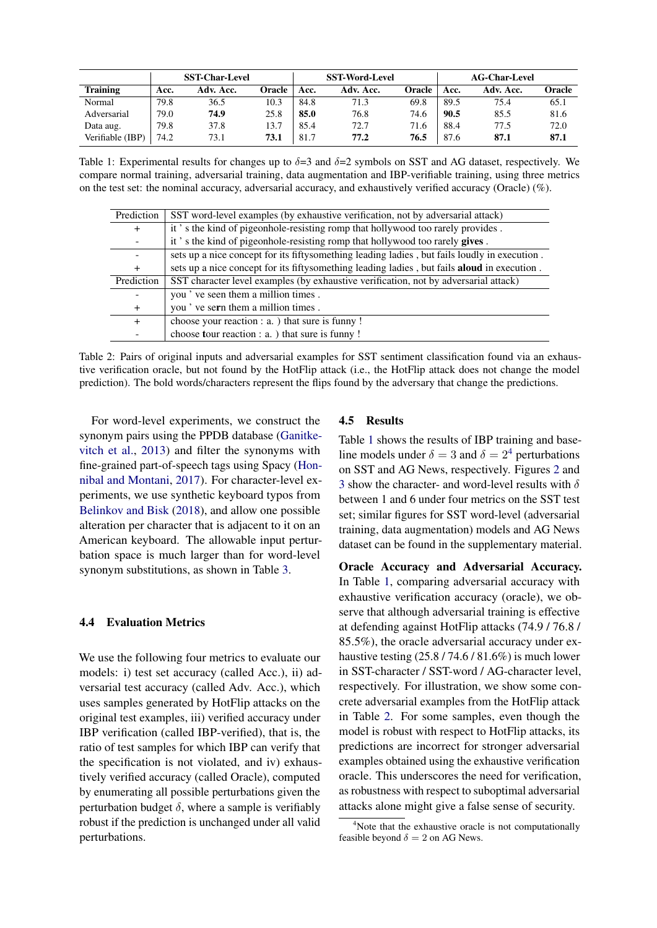<span id="page-5-1"></span>

|                  |      | <b>SST-Char-Level</b> |        |      | <b>SST-Word-Level</b> |        |      | <b>AG-Char-Level</b> |        |
|------------------|------|-----------------------|--------|------|-----------------------|--------|------|----------------------|--------|
| <b>Training</b>  | Acc. | Adv. Acc.             | Oracle | Acc. | Adv. Acc.             | Oracle | Acc. | Adv. Acc.            | Oracle |
| Normal           | 79.8 | 36.5                  | 10.3   | 84.8 | 71.3                  | 69.8   | 89.5 | 75.4                 | 65.1   |
| Adversarial      | 79.0 | 74.9                  | 25.8   | 85.0 | 76.8                  | 74.6   | 90.5 | 85.5                 | 81.6   |
| Data aug.        | 79.8 | 37.8                  | 13.7   | 85.4 | 72.7                  | 71.6   | 88.4 | 77.5                 | 72.0   |
| Verifiable (IBP) | 74.2 | 73.1                  | 73.1   | 81.7 | 77.2                  | 76.5   | 87.6 | 87.1                 | 87.1   |

Table 1: Experimental results for changes up to  $\delta=3$  and  $\delta=2$  symbols on SST and AG dataset, respectively. We compare normal training, adversarial training, data augmentation and IBP-verifiable training, using three metrics on the test set: the nominal accuracy, adversarial accuracy, and exhaustively verified accuracy (Oracle) (%).

<span id="page-5-0"></span>

| Prediction               | SST word-level examples (by exhaustive verification, not by adversarial attack)                     |  |  |  |  |
|--------------------------|-----------------------------------------------------------------------------------------------------|--|--|--|--|
| $^{+}$                   | it's the kind of pigeonhole-resisting romp that hollywood too rarely provides.                      |  |  |  |  |
|                          | it's the kind of pigeonhole-resisting romp that hollywood too rarely gives.                         |  |  |  |  |
| $\overline{\phantom{a}}$ | sets up a nice concept for its fiftysomething leading ladies, but fails loudly in execution.        |  |  |  |  |
| $^{+}$                   | sets up a nice concept for its fifty something leading ladies, but fails <b>aloud</b> in execution. |  |  |  |  |
| Prediction               | SST character level examples (by exhaustive verification, not by adversarial attack)                |  |  |  |  |
|                          | you've seen them a million times.                                                                   |  |  |  |  |
| $^{+}$                   | you've sern them a million times.                                                                   |  |  |  |  |
| $+$                      | choose your reaction : a. ) that sure is funny !                                                    |  |  |  |  |
|                          | choose tour reaction : a. ) that sure is funny !                                                    |  |  |  |  |

Table 2: Pairs of original inputs and adversarial examples for SST sentiment classification found via an exhaustive verification oracle, but not found by the HotFlip attack (i.e., the HotFlip attack does not change the model prediction). The bold words/characters represent the flips found by the adversary that change the predictions.

For word-level experiments, we construct the synonym pairs using the PPDB database [\(Ganitke](#page-9-14)[vitch et al.,](#page-9-14) [2013\)](#page-9-14) and filter the synonyms with fine-grained part-of-speech tags using Spacy [\(Hon](#page-9-15)[nibal and Montani,](#page-9-15) [2017\)](#page-9-15). For character-level experiments, we use synthetic keyboard typos from [Belinkov and Bisk](#page-8-0) [\(2018\)](#page-8-0), and allow one possible alteration per character that is adjacent to it on an American keyboard. The allowable input perturbation space is much larger than for word-level synonym substitutions, as shown in Table [3.](#page-7-0)

### 4.4 Evaluation Metrics

We use the following four metrics to evaluate our models: i) test set accuracy (called Acc.), ii) adversarial test accuracy (called Adv. Acc.), which uses samples generated by HotFlip attacks on the original test examples, iii) verified accuracy under IBP verification (called IBP-verified), that is, the ratio of test samples for which IBP can verify that the specification is not violated, and iv) exhaustively verified accuracy (called Oracle), computed by enumerating all possible perturbations given the perturbation budget  $\delta$ , where a sample is verifiably robust if the prediction is unchanged under all valid perturbations.

#### 4.5 Results

Table [1](#page-5-1) shows the results of IBP training and baseline models under  $\delta = 3$  and  $\delta = 2^4$  $\delta = 2^4$  perturbations on SST and AG News, respectively. Figures [2](#page-6-0) and [3](#page-6-1) show the character- and word-level results with  $\delta$ between 1 and 6 under four metrics on the SST test set; similar figures for SST word-level (adversarial training, data augmentation) models and AG News dataset can be found in the supplementary material.

Oracle Accuracy and Adversarial Accuracy. In Table [1,](#page-5-1) comparing adversarial accuracy with exhaustive verification accuracy (oracle), we observe that although adversarial training is effective at defending against HotFlip attacks (74.9 / 76.8 / 85.5%), the oracle adversarial accuracy under exhaustive testing (25.8 / 74.6 / 81.6%) is much lower in SST-character / SST-word / AG-character level, respectively. For illustration, we show some concrete adversarial examples from the HotFlip attack in Table [2.](#page-5-0) For some samples, even though the model is robust with respect to HotFlip attacks, its predictions are incorrect for stronger adversarial examples obtained using the exhaustive verification oracle. This underscores the need for verification, as robustness with respect to suboptimal adversarial attacks alone might give a false sense of security.

<span id="page-5-2"></span><sup>&</sup>lt;sup>4</sup>Note that the exhaustive oracle is not computationally feasible beyond  $\delta = 2$  on AG News.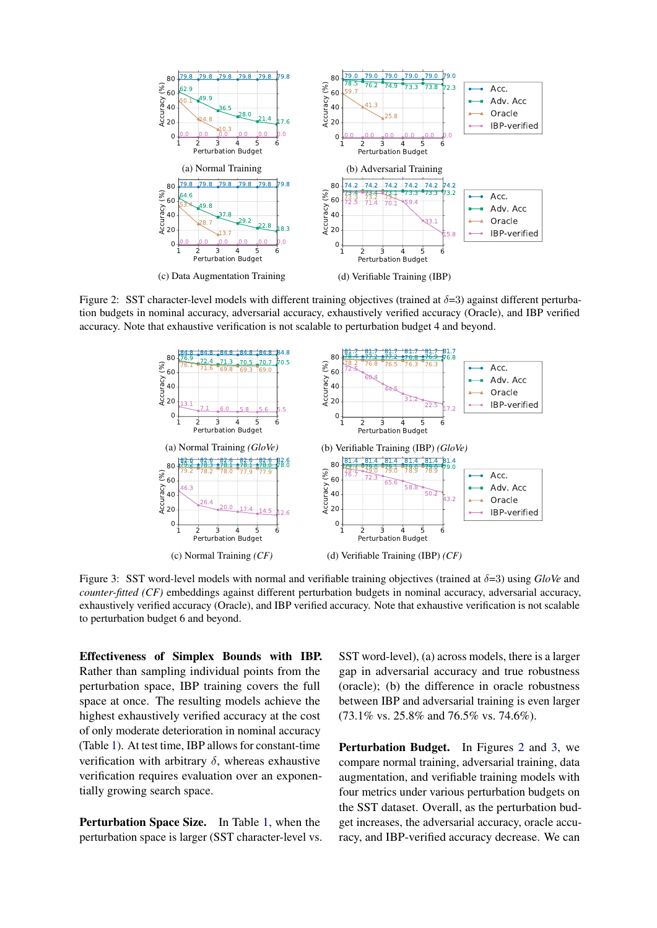<span id="page-6-0"></span>

<span id="page-6-1"></span>Figure 2: SST character-level models with different training objectives (trained at  $\delta=3$ ) against different perturbation budgets in nominal accuracy, adversarial accuracy, exhaustively verified accuracy (Oracle), and IBP verified accuracy. Note that exhaustive verification is not scalable to perturbation budget 4 and beyond.



Figure 3: SST word-level models with normal and verifiable training objectives (trained at δ=3) using *GloVe* and *counter-fitted (CF)* embeddings against different perturbation budgets in nominal accuracy, adversarial accuracy, exhaustively verified accuracy (Oracle), and IBP verified accuracy. Note that exhaustive verification is not scalable to perturbation budget 6 and beyond.

Effectiveness of Simplex Bounds with IBP. Rather than sampling individual points from the perturbation space, IBP training covers the full space at once. The resulting models achieve the highest exhaustively verified accuracy at the cost of only moderate deterioration in nominal accuracy (Table [1\)](#page-5-1). At test time, IBP allows for constant-time verification with arbitrary  $\delta$ , whereas exhaustive verification requires evaluation over an exponentially growing search space.

Perturbation Space Size. In Table [1,](#page-5-1) when the perturbation space is larger (SST character-level vs. SST word-level), (a) across models, there is a larger gap in adversarial accuracy and true robustness (oracle); (b) the difference in oracle robustness between IBP and adversarial training is even larger (73.1% vs. 25.8% and 76.5% vs. 74.6%).

Perturbation Budget. In Figures [2](#page-6-0) and [3,](#page-6-1) we compare normal training, adversarial training, data augmentation, and verifiable training models with four metrics under various perturbation budgets on the SST dataset. Overall, as the perturbation budget increases, the adversarial accuracy, oracle accuracy, and IBP-verified accuracy decrease. We can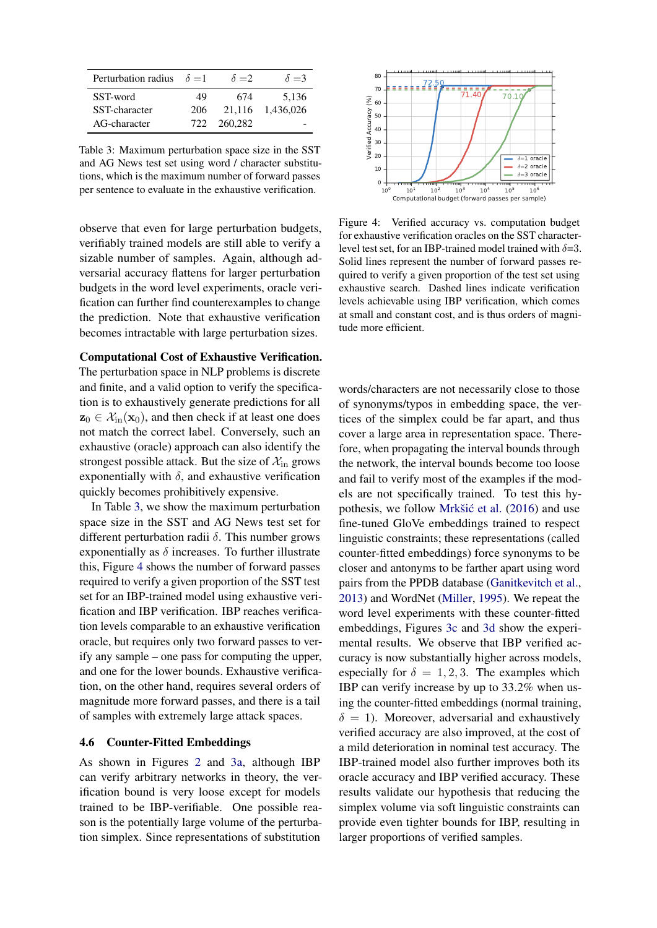<span id="page-7-0"></span>

| Perturbation radius $\delta = 1$ |     | $\delta = 2$ | $\delta = 3$ |
|----------------------------------|-----|--------------|--------------|
| SST-word                         | 49  | 674          | 5.136        |
| SST-character                    | 206 | 21.116       | 1.436.026    |
| AG-character                     |     | 722 260.282  |              |

Table 3: Maximum perturbation space size in the SST and AG News test set using word / character substitutions, which is the maximum number of forward passes per sentence to evaluate in the exhaustive verification.

observe that even for large perturbation budgets, verifiably trained models are still able to verify a sizable number of samples. Again, although adversarial accuracy flattens for larger perturbation budgets in the word level experiments, oracle verification can further find counterexamples to change the prediction. Note that exhaustive verification becomes intractable with large perturbation sizes.

### Computational Cost of Exhaustive Verification.

The perturbation space in NLP problems is discrete and finite, and a valid option to verify the specification is to exhaustively generate predictions for all  $z_0 \in \mathcal{X}_{\text{in}}(\mathbf{x}_0)$ , and then check if at least one does not match the correct label. Conversely, such an exhaustive (oracle) approach can also identify the strongest possible attack. But the size of  $\mathcal{X}_{\text{in}}$  grows exponentially with  $\delta$ , and exhaustive verification quickly becomes prohibitively expensive.

In Table [3,](#page-7-0) we show the maximum perturbation space size in the SST and AG News test set for different perturbation radii δ. This number grows exponentially as  $\delta$  increases. To further illustrate this, Figure [4](#page-7-1) shows the number of forward passes required to verify a given proportion of the SST test set for an IBP-trained model using exhaustive verification and IBP verification. IBP reaches verification levels comparable to an exhaustive verification oracle, but requires only two forward passes to verify any sample – one pass for computing the upper, and one for the lower bounds. Exhaustive verification, on the other hand, requires several orders of magnitude more forward passes, and there is a tail of samples with extremely large attack spaces.

### <span id="page-7-2"></span>4.6 Counter-Fitted Embeddings

As shown in Figures [2](#page-6-0) and [3a,](#page-6-1) although IBP can verify arbitrary networks in theory, the verification bound is very loose except for models trained to be IBP-verifiable. One possible reason is the potentially large volume of the perturbation simplex. Since representations of substitution

<span id="page-7-1"></span>

Figure 4: Verified accuracy vs. computation budget for exhaustive verification oracles on the SST characterlevel test set, for an IBP-trained model trained with  $\delta = 3$ . Solid lines represent the number of forward passes required to verify a given proportion of the test set using exhaustive search. Dashed lines indicate verification levels achievable using IBP verification, which comes at small and constant cost, and is thus orders of magnitude more efficient.

words/characters are not necessarily close to those of synonyms/typos in embedding space, the vertices of the simplex could be far apart, and thus cover a large area in representation space. Therefore, when propagating the interval bounds through the network, the interval bounds become too loose and fail to verify most of the examples if the models are not specifically trained. To test this hy-pothesis, we follow Mrkšić et al. [\(2016\)](#page-9-16) and use fine-tuned GloVe embeddings trained to respect linguistic constraints; these representations (called counter-fitted embeddings) force synonyms to be closer and antonyms to be farther apart using word pairs from the PPDB database [\(Ganitkevitch et al.,](#page-9-14) [2013\)](#page-9-14) and WordNet [\(Miller,](#page-9-17) [1995\)](#page-9-17). We repeat the word level experiments with these counter-fitted embeddings, Figures [3c](#page-6-1) and [3d](#page-6-1) show the experimental results. We observe that IBP verified accuracy is now substantially higher across models, especially for  $\delta = 1, 2, 3$ . The examples which IBP can verify increase by up to 33.2% when using the counter-fitted embeddings (normal training,  $\delta = 1$ ). Moreover, adversarial and exhaustively verified accuracy are also improved, at the cost of a mild deterioration in nominal test accuracy. The IBP-trained model also further improves both its oracle accuracy and IBP verified accuracy. These results validate our hypothesis that reducing the simplex volume via soft linguistic constraints can provide even tighter bounds for IBP, resulting in larger proportions of verified samples.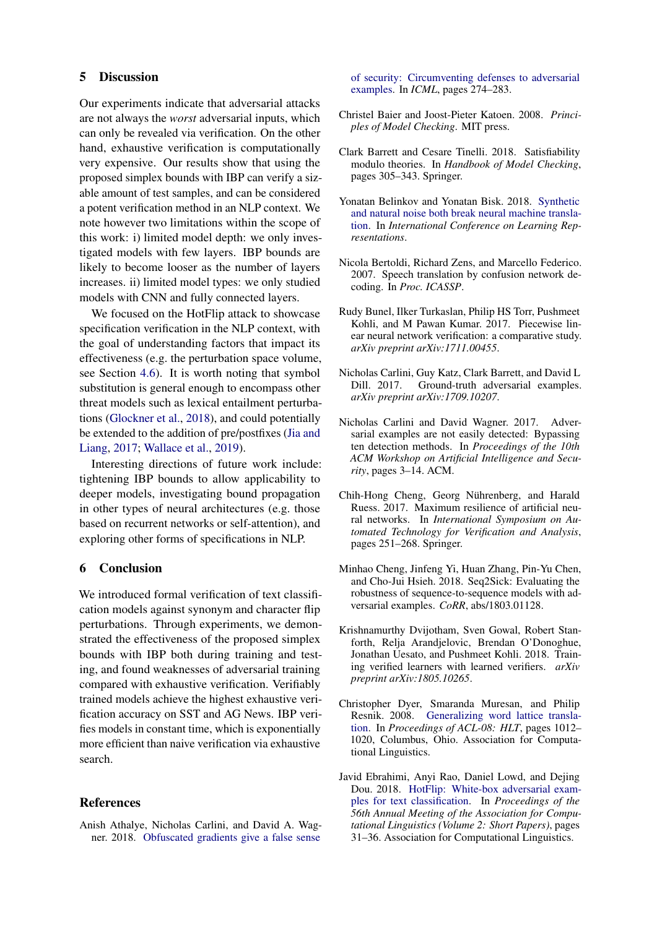#### 5 Discussion

Our experiments indicate that adversarial attacks are not always the *worst* adversarial inputs, which can only be revealed via verification. On the other hand, exhaustive verification is computationally very expensive. Our results show that using the proposed simplex bounds with IBP can verify a sizable amount of test samples, and can be considered a potent verification method in an NLP context. We note however two limitations within the scope of this work: i) limited model depth: we only investigated models with few layers. IBP bounds are likely to become looser as the number of layers increases. ii) limited model types: we only studied models with CNN and fully connected layers.

We focused on the HotFlip attack to showcase specification verification in the NLP context, with the goal of understanding factors that impact its effectiveness (e.g. the perturbation space volume, see Section [4.6\)](#page-7-2). It is worth noting that symbol substitution is general enough to encompass other threat models such as lexical entailment perturbations [\(Glockner et al.,](#page-9-18) [2018\)](#page-9-18), and could potentially be extended to the addition of pre/postfixes [\(Jia and](#page-9-1) [Liang,](#page-9-1) [2017;](#page-9-1) [Wallace et al.,](#page-10-10) [2019\)](#page-10-10).

Interesting directions of future work include: tightening IBP bounds to allow applicability to deeper models, investigating bound propagation in other types of neural architectures (e.g. those based on recurrent networks or self-attention), and exploring other forms of specifications in NLP.

#### 6 Conclusion

We introduced formal verification of text classification models against synonym and character flip perturbations. Through experiments, we demonstrated the effectiveness of the proposed simplex bounds with IBP both during training and testing, and found weaknesses of adversarial training compared with exhaustive verification. Verifiably trained models achieve the highest exhaustive verification accuracy on SST and AG News. IBP verifies models in constant time, which is exponentially more efficient than naive verification via exhaustive search.

# References

<span id="page-8-3"></span>Anish Athalye, Nicholas Carlini, and David A. Wagner. 2018. [Obfuscated gradients give a false sense](http://proceedings.mlr.press/v80/athalye18a.html) [of security: Circumventing defenses to adversarial](http://proceedings.mlr.press/v80/athalye18a.html) [examples.](http://proceedings.mlr.press/v80/athalye18a.html) In *ICML*, pages 274–283.

- <span id="page-8-4"></span>Christel Baier and Joost-Pieter Katoen. 2008. *Principles of Model Checking*. MIT press.
- <span id="page-8-5"></span>Clark Barrett and Cesare Tinelli. 2018. Satisfiability modulo theories. In *Handbook of Model Checking*, pages 305–343. Springer.
- <span id="page-8-0"></span>Yonatan Belinkov and Yonatan Bisk. 2018. [Synthetic](https://openreview.net/forum?id=BJ8vJebC-) [and natural noise both break neural machine transla](https://openreview.net/forum?id=BJ8vJebC-)[tion.](https://openreview.net/forum?id=BJ8vJebC-) In *International Conference on Learning Representations*.
- <span id="page-8-11"></span>Nicola Bertoldi, Richard Zens, and Marcello Federico. 2007. Speech translation by confusion network decoding. In *Proc. ICASSP*.
- <span id="page-8-8"></span>Rudy Bunel, Ilker Turkaslan, Philip HS Torr, Pushmeet Kohli, and M Pawan Kumar. 2017. Piecewise linear neural network verification: a comparative study. *arXiv preprint arXiv:1711.00455*.
- <span id="page-8-10"></span>Nicholas Carlini, Guy Katz, Clark Barrett, and David L Dill. 2017. Ground-truth adversarial examples. *arXiv preprint arXiv:1709.10207*.
- <span id="page-8-2"></span>Nicholas Carlini and David Wagner. 2017. Adversarial examples are not easily detected: Bypassing ten detection methods. In *Proceedings of the 10th ACM Workshop on Artificial Intelligence and Security*, pages 3–14. ACM.
- <span id="page-8-9"></span>Chih-Hong Cheng, Georg Nührenberg, and Harald Ruess. 2017. Maximum resilience of artificial neural networks. In *International Symposium on Automated Technology for Verification and Analysis*, pages 251–268. Springer.
- <span id="page-8-7"></span>Minhao Cheng, Jinfeng Yi, Huan Zhang, Pin-Yu Chen, and Cho-Jui Hsieh. 2018. Seq2Sick: Evaluating the robustness of sequence-to-sequence models with adversarial examples. *CoRR*, abs/1803.01128.
- <span id="page-8-6"></span>Krishnamurthy Dvijotham, Sven Gowal, Robert Stanforth, Relja Arandjelovic, Brendan O'Donoghue, Jonathan Uesato, and Pushmeet Kohli. 2018. Training verified learners with learned verifiers. *arXiv preprint arXiv:1805.10265*.
- <span id="page-8-12"></span>Christopher Dyer, Smaranda Muresan, and Philip Resnik. 2008. [Generalizing word lattice transla](https://www.aclweb.org/anthology/P08-1115)[tion.](https://www.aclweb.org/anthology/P08-1115) In *Proceedings of ACL-08: HLT*, pages 1012– 1020, Columbus, Ohio. Association for Computational Linguistics.
- <span id="page-8-1"></span>Javid Ebrahimi, Anyi Rao, Daniel Lowd, and Dejing Dou. 2018. [HotFlip: White-box adversarial exam](http://aclweb.org/anthology/P18-2006)[ples for text classification.](http://aclweb.org/anthology/P18-2006) In *Proceedings of the 56th Annual Meeting of the Association for Computational Linguistics (Volume 2: Short Papers)*, pages 31–36. Association for Computational Linguistics.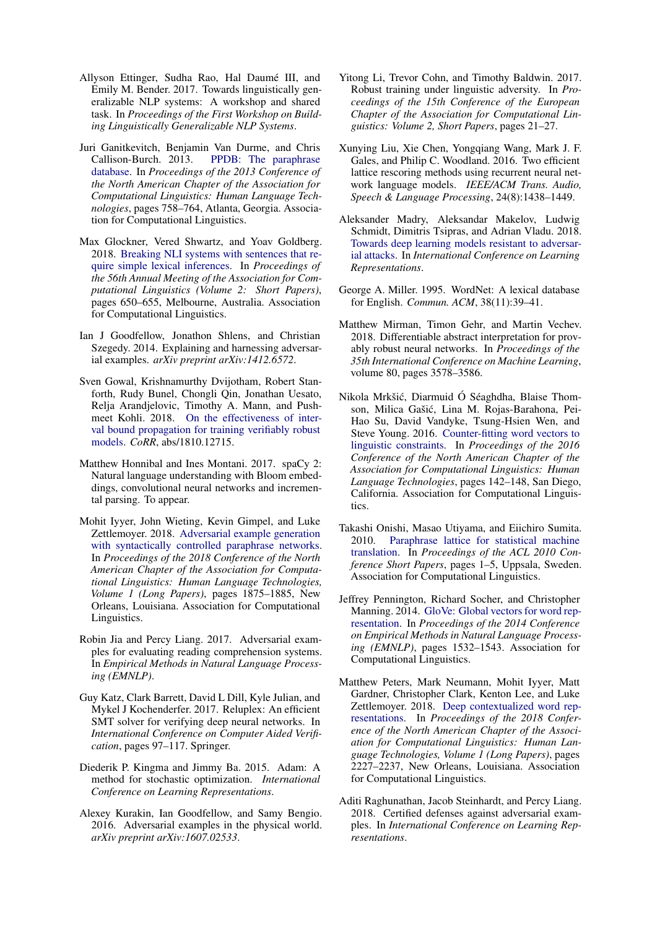- <span id="page-9-2"></span>Allyson Ettinger, Sudha Rao, Hal Daumé III, and Emily M. Bender. 2017. Towards linguistically generalizable NLP systems: A workshop and shared task. In *Proceedings of the First Workshop on Building Linguistically Generalizable NLP Systems*.
- <span id="page-9-14"></span>Juri Ganitkevitch, Benjamin Van Durme, and Chris Callison-Burch. 2013. [PPDB: The paraphrase](https://www.aclweb.org/anthology/N13-1092) [database.](https://www.aclweb.org/anthology/N13-1092) In *Proceedings of the 2013 Conference of the North American Chapter of the Association for Computational Linguistics: Human Language Technologies*, pages 758–764, Atlanta, Georgia. Association for Computational Linguistics.
- <span id="page-9-18"></span>Max Glockner, Vered Shwartz, and Yoav Goldberg. 2018. [Breaking NLI systems with sentences that re](https://doi.org/10.18653/v1/P18-2103)[quire simple lexical inferences.](https://doi.org/10.18653/v1/P18-2103) In *Proceedings of the 56th Annual Meeting of the Association for Computational Linguistics (Volume 2: Short Papers)*, pages 650–655, Melbourne, Australia. Association for Computational Linguistics.
- <span id="page-9-8"></span>Ian J Goodfellow, Jonathon Shlens, and Christian Szegedy. 2014. Explaining and harnessing adversarial examples. *arXiv preprint arXiv:1412.6572*.
- <span id="page-9-6"></span>Sven Gowal, Krishnamurthy Dvijotham, Robert Stanforth, Rudy Bunel, Chongli Qin, Jonathan Uesato, Relja Arandjelovic, Timothy A. Mann, and Pushmeet Kohli. 2018. [On the effectiveness of inter](http://arxiv.org/abs/1810.12715)[val bound propagation for training verifiably robust](http://arxiv.org/abs/1810.12715) [models.](http://arxiv.org/abs/1810.12715) *CoRR*, abs/1810.12715.
- <span id="page-9-15"></span>Matthew Honnibal and Ines Montani. 2017. spaCy 2: Natural language understanding with Bloom embeddings, convolutional neural networks and incremental parsing. To appear.
- <span id="page-9-3"></span>Mohit Iyyer, John Wieting, Kevin Gimpel, and Luke Zettlemoyer. 2018. [Adversarial example generation](https://doi.org/10.18653/v1/N18-1170) [with syntactically controlled paraphrase networks.](https://doi.org/10.18653/v1/N18-1170) In *Proceedings of the 2018 Conference of the North American Chapter of the Association for Computational Linguistics: Human Language Technologies, Volume 1 (Long Papers)*, pages 1875–1885, New Orleans, Louisiana. Association for Computational Linguistics.
- <span id="page-9-1"></span>Robin Jia and Percy Liang. 2017. Adversarial examples for evaluating reading comprehension systems. In *Empirical Methods in Natural Language Processing (EMNLP)*.
- <span id="page-9-5"></span>Guy Katz, Clark Barrett, David L Dill, Kyle Julian, and Mykel J Kochenderfer. 2017. Reluplex: An efficient SMT solver for verifying deep neural networks. In *International Conference on Computer Aided Verification*, pages 97–117. Springer.
- <span id="page-9-20"></span>Diederik P. Kingma and Jimmy Ba. 2015. Adam: A method for stochastic optimization. *International Conference on Learning Representations*.
- <span id="page-9-0"></span>Alexey Kurakin, Ian Goodfellow, and Samy Bengio. 2016. Adversarial examples in the physical world. *arXiv preprint arXiv:1607.02533*.
- <span id="page-9-4"></span>Yitong Li, Trevor Cohn, and Timothy Baldwin. 2017. Robust training under linguistic adversity. In *Proceedings of the 15th Conference of the European Chapter of the Association for Computational Linguistics: Volume 2, Short Papers*, pages 21–27.
- <span id="page-9-10"></span>Xunying Liu, Xie Chen, Yongqiang Wang, Mark J. F. Gales, and Philip C. Woodland. 2016. Two efficient lattice rescoring methods using recurrent neural network language models. *IEEE/ACM Trans. Audio, Speech & Language Processing*, 24(8):1438–1449.
- <span id="page-9-13"></span>Aleksander Madry, Aleksandar Makelov, Ludwig Schmidt, Dimitris Tsipras, and Adrian Vladu. 2018. [Towards deep learning models resistant to adversar](https://openreview.net/forum?id=rJzIBfZAb)[ial attacks.](https://openreview.net/forum?id=rJzIBfZAb) In *International Conference on Learning Representations*.
- <span id="page-9-17"></span>George A. Miller. 1995. WordNet: A lexical database for English. *Commun. ACM*, 38(11):39–41.
- <span id="page-9-7"></span>Matthew Mirman, Timon Gehr, and Martin Vechev. 2018. Differentiable abstract interpretation for provably robust neural networks. In *Proceedings of the 35th International Conference on Machine Learning*, volume 80, pages 3578–3586.
- <span id="page-9-16"></span>Nikola Mrkšić, Diarmuid Ó Séaghdha, Blaise Thomson, Milica Gašić, Lina M. Rojas-Barahona, Pei-Hao Su, David Vandyke, Tsung-Hsien Wen, and Steve Young. 2016. [Counter-fitting word vectors to](https://doi.org/10.18653/v1/N16-1018) [linguistic constraints.](https://doi.org/10.18653/v1/N16-1018) In *Proceedings of the 2016 Conference of the North American Chapter of the Association for Computational Linguistics: Human Language Technologies*, pages 142–148, San Diego, California. Association for Computational Linguistics.
- <span id="page-9-11"></span>Takashi Onishi, Masao Utiyama, and Eiichiro Sumita. 2010. [Paraphrase lattice for statistical machine](https://www.aclweb.org/anthology/P10-2001) [translation.](https://www.aclweb.org/anthology/P10-2001) In *Proceedings of the ACL 2010 Conference Short Papers*, pages 1–5, Uppsala, Sweden. Association for Computational Linguistics.
- <span id="page-9-19"></span>Jeffrey Pennington, Richard Socher, and Christopher Manning. 2014. [GloVe: Global vectors for word rep](https://doi.org/10.3115/v1/D14-1162)[resentation.](https://doi.org/10.3115/v1/D14-1162) In *Proceedings of the 2014 Conference on Empirical Methods in Natural Language Processing (EMNLP)*, pages 1532–1543. Association for Computational Linguistics.
- <span id="page-9-12"></span>Matthew Peters, Mark Neumann, Mohit Iyyer, Matt Gardner, Christopher Clark, Kenton Lee, and Luke Zettlemoyer. 2018. [Deep contextualized word rep](https://doi.org/10.18653/v1/N18-1202)[resentations.](https://doi.org/10.18653/v1/N18-1202) In *Proceedings of the 2018 Conference of the North American Chapter of the Association for Computational Linguistics: Human Language Technologies, Volume 1 (Long Papers)*, pages 2227–2237, New Orleans, Louisiana. Association for Computational Linguistics.
- <span id="page-9-9"></span>Aditi Raghunathan, Jacob Steinhardt, and Percy Liang. 2018. Certified defenses against adversarial examples. In *International Conference on Learning Representations*.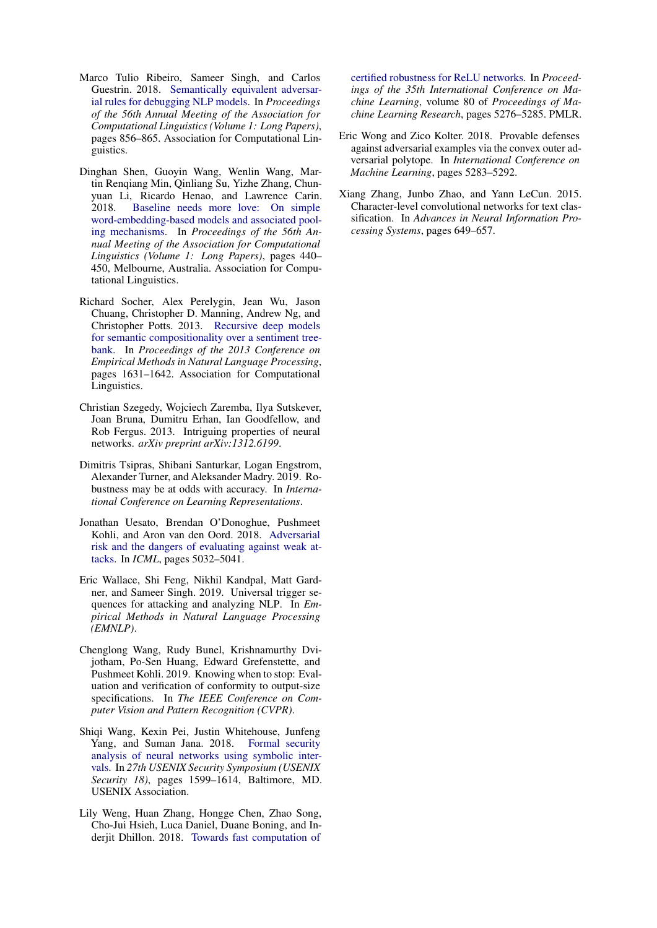- <span id="page-10-1"></span>Marco Tulio Ribeiro, Sameer Singh, and Carlos Guestrin. 2018. [Semantically equivalent adversar](http://aclweb.org/anthology/P18-1079)[ial rules for debugging NLP models.](http://aclweb.org/anthology/P18-1079) In *Proceedings of the 56th Annual Meeting of the Association for Computational Linguistics (Volume 1: Long Papers)*, pages 856–865. Association for Computational Linguistics.
- <span id="page-10-9"></span>Dinghan Shen, Guoyin Wang, Wenlin Wang, Martin Renqiang Min, Qinliang Su, Yizhe Zhang, Chunyuan Li, Ricardo Henao, and Lawrence Carin. 2018. [Baseline needs more love: On simple](https://doi.org/10.18653/v1/P18-1041) [word-embedding-based models and associated pool](https://doi.org/10.18653/v1/P18-1041)[ing mechanisms.](https://doi.org/10.18653/v1/P18-1041) In *Proceedings of the 56th Annual Meeting of the Association for Computational Linguistics (Volume 1: Long Papers)*, pages 440– 450, Melbourne, Australia. Association for Computational Linguistics.
- <span id="page-10-3"></span>Richard Socher, Alex Perelygin, Jean Wu, Jason Chuang, Christopher D. Manning, Andrew Ng, and Christopher Potts. 2013. [Recursive deep models](http://aclweb.org/anthology/D13-1170) [for semantic compositionality over a sentiment tree](http://aclweb.org/anthology/D13-1170)[bank.](http://aclweb.org/anthology/D13-1170) In *Proceedings of the 2013 Conference on Empirical Methods in Natural Language Processing*, pages 1631–1642. Association for Computational Linguistics.
- <span id="page-10-0"></span>Christian Szegedy, Wojciech Zaremba, Ilya Sutskever, Joan Bruna, Dumitru Erhan, Ian Goodfellow, and Rob Fergus. 2013. Intriguing properties of neural networks. *arXiv preprint arXiv:1312.6199*.
- <span id="page-10-11"></span>Dimitris Tsipras, Shibani Santurkar, Logan Engstrom, Alexander Turner, and Aleksander Madry. 2019. Robustness may be at odds with accuracy. In *International Conference on Learning Representations*.
- <span id="page-10-2"></span>Jonathan Uesato, Brendan O'Donoghue, Pushmeet Kohli, and Aron van den Oord. 2018. [Adversarial](http://proceedings.mlr.press/v80/uesato18a.html) [risk and the dangers of evaluating against weak at](http://proceedings.mlr.press/v80/uesato18a.html)[tacks.](http://proceedings.mlr.press/v80/uesato18a.html) In *ICML*, pages 5032–5041.
- <span id="page-10-10"></span>Eric Wallace, Shi Feng, Nikhil Kandpal, Matt Gardner, and Sameer Singh. 2019. Universal trigger sequences for attacking and analyzing NLP. In *Empirical Methods in Natural Language Processing (EMNLP)*.
- <span id="page-10-5"></span>Chenglong Wang, Rudy Bunel, Krishnamurthy Dvijotham, Po-Sen Huang, Edward Grefenstette, and Pushmeet Kohli. 2019. Knowing when to stop: Evaluation and verification of conformity to output-size specifications. In *The IEEE Conference on Computer Vision and Pattern Recognition (CVPR)*.
- <span id="page-10-8"></span>Shiqi Wang, Kexin Pei, Justin Whitehouse, Junfeng Yang, and Suman Jana. 2018. [Formal security](https://www.usenix.org/conference/usenixsecurity18/presentation/wang-shiqi) [analysis of neural networks using symbolic inter](https://www.usenix.org/conference/usenixsecurity18/presentation/wang-shiqi)[vals.](https://www.usenix.org/conference/usenixsecurity18/presentation/wang-shiqi) In *27th USENIX Security Symposium (USENIX Security 18)*, pages 1599–1614, Baltimore, MD. USENIX Association.
- <span id="page-10-6"></span>Lily Weng, Huan Zhang, Hongge Chen, Zhao Song, Cho-Jui Hsieh, Luca Daniel, Duane Boning, and Inderjit Dhillon. 2018. [Towards fast computation of](http://proceedings.mlr.press/v80/weng18a.html)

[certified robustness for ReLU networks.](http://proceedings.mlr.press/v80/weng18a.html) In *Proceedings of the 35th International Conference on Machine Learning*, volume 80 of *Proceedings of Machine Learning Research*, pages 5276–5285. PMLR.

- <span id="page-10-7"></span>Eric Wong and Zico Kolter. 2018. Provable defenses against adversarial examples via the convex outer adversarial polytope. In *International Conference on Machine Learning*, pages 5283–5292.
- <span id="page-10-4"></span>Xiang Zhang, Junbo Zhao, and Yann LeCun. 2015. Character-level convolutional networks for text classification. In *Advances in Neural Information Processing Systems*, pages 649–657.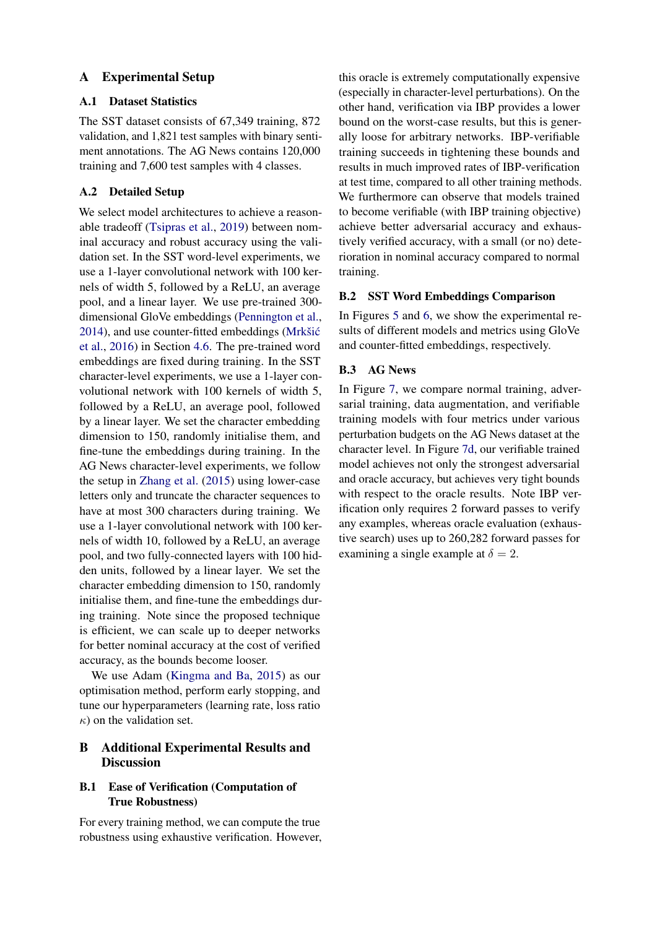# A Experimental Setup

# A.1 Dataset Statistics

The SST dataset consists of 67,349 training, 872 validation, and 1,821 test samples with binary sentiment annotations. The AG News contains 120,000 training and 7,600 test samples with 4 classes.

# A.2 Detailed Setup

We select model architectures to achieve a reasonable tradeoff [\(Tsipras et al.,](#page-10-11) [2019\)](#page-10-11) between nominal accuracy and robust accuracy using the validation set. In the SST word-level experiments, we use a 1-layer convolutional network with 100 kernels of width 5, followed by a ReLU, an average pool, and a linear layer. We use pre-trained 300 dimensional GloVe embeddings [\(Pennington et al.,](#page-9-19) [2014\)](#page-9-19), and use counter-fitted embeddings (Mrkšić [et al.,](#page-9-16) [2016\)](#page-9-16) in Section [4.6.](#page-7-2) The pre-trained word embeddings are fixed during training. In the SST character-level experiments, we use a 1-layer convolutional network with 100 kernels of width 5, followed by a ReLU, an average pool, followed by a linear layer. We set the character embedding dimension to 150, randomly initialise them, and fine-tune the embeddings during training. In the AG News character-level experiments, we follow the setup in [Zhang et al.](#page-10-4) [\(2015\)](#page-10-4) using lower-case letters only and truncate the character sequences to have at most 300 characters during training. We use a 1-layer convolutional network with 100 kernels of width 10, followed by a ReLU, an average pool, and two fully-connected layers with 100 hidden units, followed by a linear layer. We set the character embedding dimension to 150, randomly initialise them, and fine-tune the embeddings during training. Note since the proposed technique is efficient, we can scale up to deeper networks for better nominal accuracy at the cost of verified accuracy, as the bounds become looser.

We use Adam [\(Kingma and Ba,](#page-9-20) [2015\)](#page-9-20) as our optimisation method, perform early stopping, and tune our hyperparameters (learning rate, loss ratio  $\kappa$ ) on the validation set.

# B Additional Experimental Results and **Discussion**

# B.1 Ease of Verification (Computation of True Robustness)

For every training method, we can compute the true robustness using exhaustive verification. However, this oracle is extremely computationally expensive (especially in character-level perturbations). On the other hand, verification via IBP provides a lower bound on the worst-case results, but this is generally loose for arbitrary networks. IBP-verifiable training succeeds in tightening these bounds and results in much improved rates of IBP-verification at test time, compared to all other training methods. We furthermore can observe that models trained to become verifiable (with IBP training objective) achieve better adversarial accuracy and exhaustively verified accuracy, with a small (or no) deterioration in nominal accuracy compared to normal training.

### B.2 SST Word Embeddings Comparison

In Figures [5](#page-12-0) and [6,](#page-12-1) we show the experimental results of different models and metrics using GloVe and counter-fitted embeddings, respectively.

# B.3 AG News

In Figure [7,](#page-13-0) we compare normal training, adversarial training, data augmentation, and verifiable training models with four metrics under various perturbation budgets on the AG News dataset at the character level. In Figure [7d,](#page-13-0) our verifiable trained model achieves not only the strongest adversarial and oracle accuracy, but achieves very tight bounds with respect to the oracle results. Note IBP verification only requires 2 forward passes to verify any examples, whereas oracle evaluation (exhaustive search) uses up to 260,282 forward passes for examining a single example at  $\delta = 2$ .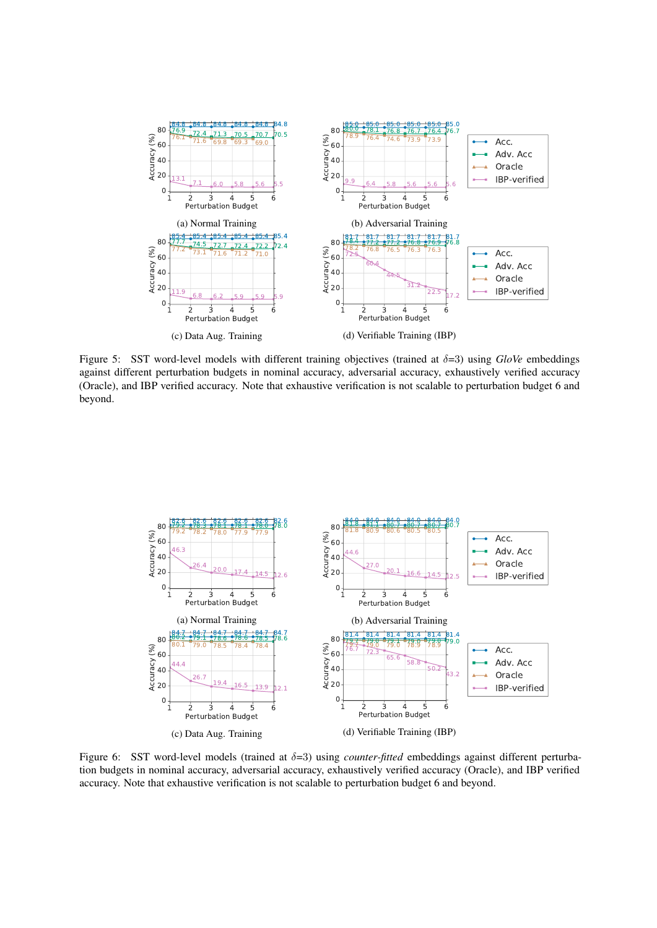<span id="page-12-0"></span>

Figure 5: SST word-level models with different training objectives (trained at δ=3) using *GloVe* embeddings against different perturbation budgets in nominal accuracy, adversarial accuracy, exhaustively verified accuracy (Oracle), and IBP verified accuracy. Note that exhaustive verification is not scalable to perturbation budget 6 and beyond.

<span id="page-12-1"></span>

Figure 6: SST word-level models (trained at δ=3) using *counter-fitted* embeddings against different perturbation budgets in nominal accuracy, adversarial accuracy, exhaustively verified accuracy (Oracle), and IBP verified accuracy. Note that exhaustive verification is not scalable to perturbation budget 6 and beyond.